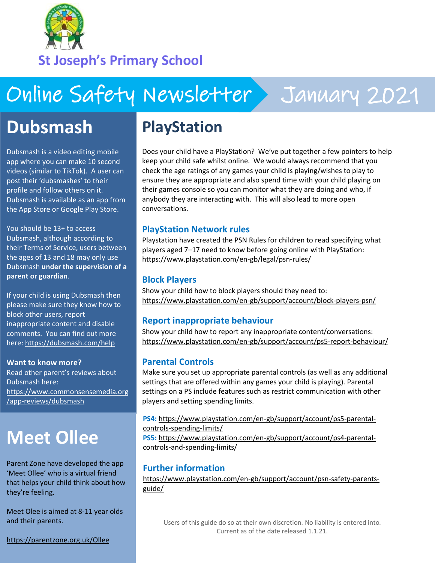

**St Joseph's Primary School**

# Online Safety Newsletter January 2021

## **Dubsmash**

Dubsmash is a video editing mobile app where you can make 10 second videos (similar to TikTok). A user can post their 'dubsmashes' to their profile and follow others on it. Dubsmash is available as an app from the App Store or Google Play Store.

You should be 13+ to access Dubsmash, although according to their Terms of Service, users between the ages of 13 and 18 may only use Dubsmash **under the supervision of a parent or guardian**.

If your child is using Dubsmash then please make sure they know how to block other users, report inappropriate content and disable comments. You can find out more here: <https://dubsmash.com/help>

#### **Want to know more?**

Read other parent's reviews about Dubsmash here: [https://www.commonsensemedia.org](https://www.commonsensemedia.org/app-reviews/dubsmash) [/app-reviews/dubsmash](https://www.commonsensemedia.org/app-reviews/dubsmash) 

## **Meet Ollee**

Parent Zone have developed the app 'Meet Ollee' who is a virtual friend that helps your child think about how they're feeling.

Meet Olee is aimed at 8-11 year olds and their parents.

<https://parentzone.org.uk/Ollee>

### **PlayStation**

Does your child have a PlayStation? We've put together a few pointers to help keep your child safe whilst online. We would always recommend that you check the age ratings of any games your child is playing/wishes to play to ensure they are appropriate and also spend time with your child playing on their games console so you can monitor what they are doing and who, if anybody they are interacting with. This will also lead to more open conversations.

#### **PlayStation Network rules**

Playstation have created the PSN Rules for children to read specifying what players aged 7–17 need to know before going online with PlayStation: <https://www.playstation.com/en-gb/legal/psn-rules/>

### **Block Players**

Show your child how to block players should they need to: <https://www.playstation.com/en-gb/support/account/block-players-psn/>

#### **Report inappropriate behaviour**

Show your child how to report any inappropriate content/conversations: <https://www.playstation.com/en-gb/support/account/ps5-report-behaviour/>

#### **Parental Controls**

Make sure you set up appropriate parental controls (as well as any additional settings that are offered within any games your child is playing). Parental settings on a PS include features such as restrict communication with other players and setting spending limits.

**PS4:** [https://www.playstation.com/en-gb/support/account/ps5-parental](https://www.playstation.com/en-gb/support/account/ps5-parental-controls-spending-limits/)[controls-spending-limits/](https://www.playstation.com/en-gb/support/account/ps5-parental-controls-spending-limits/)

**PS5:** [https://www.playstation.com/en-gb/support/account/ps4-parental](https://www.playstation.com/en-gb/support/account/ps4-parental-controls-and-spending-limits/)[controls-and-spending-limits/](https://www.playstation.com/en-gb/support/account/ps4-parental-controls-and-spending-limits/)

#### **Further information**

[https://www.playstation.com/en-gb/support/account/psn-safety-parents](https://www.playstation.com/en-gb/support/account/psn-safety-parents-guide/)[guide/](https://www.playstation.com/en-gb/support/account/psn-safety-parents-guide/)

Users of this guide do so at their own discretion. No liability is entered into. Current as of the date released 1.1.21.